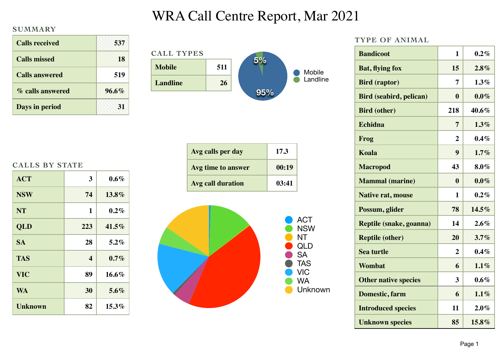## WRA Call Centre Report, Mar 2021

## **SUMMARY**

| <b>Calls received</b> | 537      |
|-----------------------|----------|
| <b>Calls missed</b>   | 18       |
| <b>Calls answered</b> | 519      |
| % calls answered      | $96.6\%$ |
| Days in period        |          |

| <b>CALL TYPES</b> |     |     |          |
|-------------------|-----|-----|----------|
| <b>Mobile</b>     | 511 |     | Mobile   |
| <b>Landline</b>   | 26  |     | Landline |
|                   |     | 95% |          |

| <b>CALLS BY STATE</b> |  |  |
|-----------------------|--|--|
|-----------------------|--|--|

| <b>ACT</b>     | 3                       | $0.6\%$  |
|----------------|-------------------------|----------|
| <b>NSW</b>     | 74                      | $13.8\%$ |
| <b>NT</b>      | 1                       | 0.2%     |
| <b>QLD</b>     | 223                     | $41.5\%$ |
| <b>SA</b>      | 28                      | $5.2\%$  |
| <b>TAS</b>     | $\overline{\mathbf{4}}$ | $0.7\%$  |
| <b>VIC</b>     | 89                      | $16.6\%$ |
| <b>WA</b>      | 30                      | $5.6\%$  |
| <b>Unknown</b> | 82                      | $15.3\%$ |





| <b>ACT</b> |
|------------|
| NSW        |
| NT         |
| QLD        |
| SA         |
| <b>TAS</b> |
| VIC        |
| WA         |
| Unknown    |

| TYPE OF ANIMAL                 |                |         |
|--------------------------------|----------------|---------|
| <b>Bandicoot</b>               | 1              | $0.2\%$ |
| <b>Bat, flying fox</b>         | 15             | $2.8\%$ |
| <b>Bird</b> (raptor)           | 7              | $1.3\%$ |
| <b>Bird (seabird, pelican)</b> | 0              | $0.0\%$ |
| <b>Bird (other)</b>            | 218            | 40.6%   |
| <b>Echidna</b>                 | 7              | $1.3\%$ |
| Frog                           | $\overline{2}$ | $0.4\%$ |
| <b>Koala</b>                   | 9              | 1.7%    |
| <b>Macropod</b>                | 43             | $8.0\%$ |
| <b>Mammal</b> (marine)         | $\bf{0}$       | $0.0\%$ |
| <b>Native rat, mouse</b>       | 1              | $0.2\%$ |
| Possum, glider                 | 78             | 14.5%   |
| Reptile (snake, goanna)        | 14             | 2.6%    |
| <b>Reptile (other)</b>         | 20             | 3.7%    |
| <b>Sea turtle</b>              | $\overline{2}$ | $0.4\%$ |
| Wombat                         | 6              | $1.1\%$ |
| <b>Other native species</b>    | 3              | $0.6\%$ |
| Domestic, farm                 | 6              | 1.1%    |
| <b>Introduced species</b>      | 11             | 2.0%    |
| <b>Unknown species</b>         | 85             | 15.8%   |